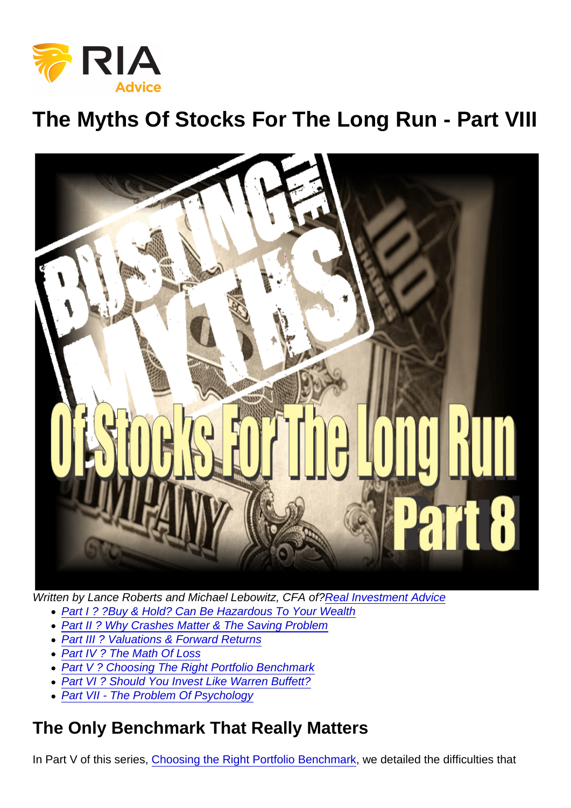The Myths Of Stocks For The Long Run - Part VIII

Written by Lance Roberts and Michael Lebowitz, CFA of?[Real Investment Advice](https://realinvestmentadvice.com/)

- [Part I ? ?Buy & Hold? Can Be Hazardous To Your Wealth](https://realinvestmentadvice.com/the-myths-of-stocks-for-the-long-run-part-i/)
- [Part II ? Why Crashes Matter & The Saving Problem](https://realinvestmentadvice.com/the-myths-of-stocks-for-the-long-run-part-ii/)
- [Part III ? Valuations & Forward Returns](https://realinvestmentadvice.com/the-myths-of-stocks-for-the-long-run-part-iii/)
- [Part IV ? The Math Of Loss](https://realinvestmentadvice.com/copy-of-the-myths-of-stocks-for-the-long-run-part-iv/)
- [Part V ? Choosing The Right Portfolio Benchmark](https://realinvestmentadvice.com/the-myths-of-stocks-for-the-long-run-part-v/)
- [Part VI ? Should You Invest Like Warren Buffett?](https://realinvestmentadvice.com/the-myths-of-stocks-for-the-long-run-part-vi/)
- [Part VII The Problem Of Psychology](https://realinvestmentadvice.com/the-myths-of-stocks-for-the-long-run-part-vii/)

### The Only Benchmark That Really Matters

In Part V of this series, [Choosing the Right Portfolio Benchmark](https://realinvestmentadvice.com/the-myths-of-stocks-for-the-long-run-part-v/), we detailed the difficulties that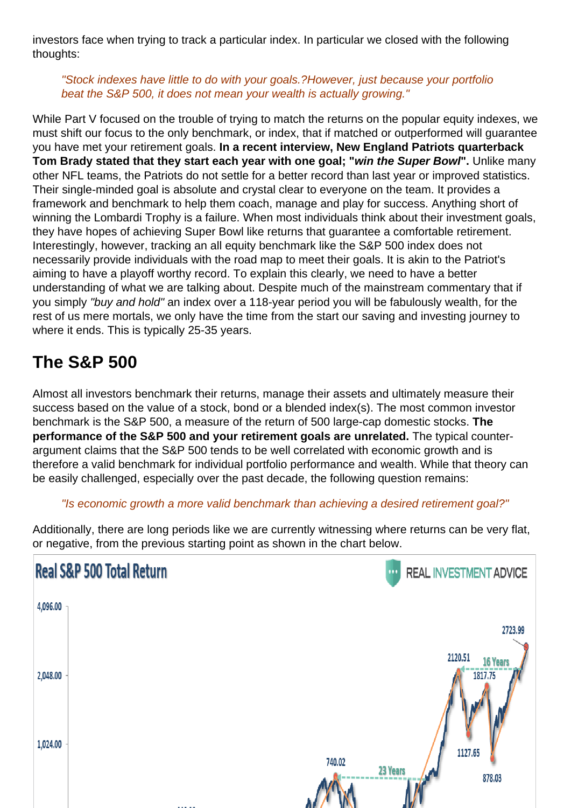investors face when trying to track a particular index. In particular we closed with the following thoughts:

"Stock indexes have little to do with your goals.?However, just because your portfolio beat the S&P 500, it does not mean your wealth is actually growing."

While Part V focused on the trouble of trying to match the returns on the popular equity indexes, we must shift our focus to the only benchmark, or index, that if matched or outperformed will guarantee you have met your retirement goals. In a recent interview, New England Patriots quarterback Tom Brady stated that they start each year with one goal; " win the Super Bowl ". Unlike many other NFL teams, the Patriots do not settle for a better record than last year or improved statistics. Their single-minded goal is absolute and crystal clear to everyone on the team. It provides a framework and benchmark to help them coach, manage and play for success. Anything short of winning the Lombardi Trophy is a failure. When most individuals think about their investment goals, they have hopes of achieving Super Bowl like returns that guarantee a comfortable retirement. Interestingly, however, tracking an all equity benchmark like the S&P 500 index does not necessarily provide individuals with the road map to meet their goals. It is akin to the Patriot's aiming to have a playoff worthy record. To explain this clearly, we need to have a better understanding of what we are talking about. Despite much of the mainstream commentary that if you simply "buy and hold" an index over a 118-year period you will be fabulously wealth, for the rest of us mere mortals, we only have the time from the start our saving and investing journey to where it ends. This is typically 25-35 years.

# The S&P 500

Almost all investors benchmark their returns, manage their assets and ultimately measure their success based on the value of a stock, bond or a blended index(s). The most common investor benchmark is the S&P 500, a measure of the return of 500 large-cap domestic stocks. The performance of the S&P 500 and your retirement goals are unrelated. The typical counterargument claims that the S&P 500 tends to be well correlated with economic growth and is therefore a valid benchmark for individual portfolio performance and wealth. While that theory can be easily challenged, especially over the past decade, the following question remains:

#### "Is economic growth a more valid benchmark than achieving a desired retirement goal?"

Additionally, there are long periods like we are currently witnessing where returns can be very flat, or negative, from the previous starting point as shown in the chart below.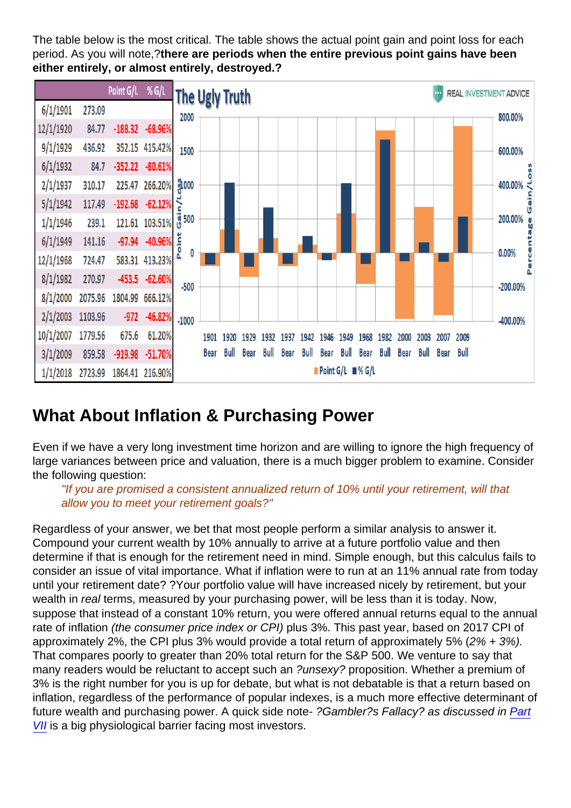The table below is the most critical. The table shows the actual point gain and point loss for each period. As you will note,?there are periods when the entire previous point gains have been either entirely, or almost entirely, destroyed.?

## What About Inflation & Purchasing Power

Even if we have a very long investment time horizon and are willing to ignore the high frequency of large variances between price and valuation, there is a much bigger problem to examine. Consider the following question:

"If you are promised a consistent annualized return of 10% until your retirement, will that allow you to meet your retirement goals?"

Regardless of your answer, we bet that most people perform a similar analysis to answer it. Compound your current wealth by 10% annually to arrive at a future portfolio value and then determine if that is enough for the retirement need in mind. Simple enough, but this calculus fails to consider an issue of vital importance. What if inflation were to run at an 11% annual rate from today until your retirement date? ?Your portfolio value will have increased nicely by retirement, but your wealth in real terms, measured by your purchasing power, will be less than it is today. Now, suppose that instead of a constant 10% return, you were offered annual returns equal to the annual rate of inflation (the consumer price index or CPI) plus 3%. This past year, based on 2017 CPI of approximately 2%, the CPI plus 3% would provide a total return of approximately 5% (2% + 3%). That compares poorly to greater than 20% total return for the S&P 500. We venture to say that many readers would be reluctant to accept such an ?unsexy? proposition. Whether a premium of 3% is the right number for you is up for debate, but what is not debatable is that a return based on inflation, regardless of the performance of popular indexes, is a much more effective determinant of future wealth and purchasing power. A quick side note- ?Gambler?s Fallacy? as discussed in [Part](https://realinvestmentadvice.com/the-myths-of-stocks-for-the-long-run-part-vii/) [VII](https://realinvestmentadvice.com/the-myths-of-stocks-for-the-long-run-part-vii/) is a big physiological barrier facing most investors.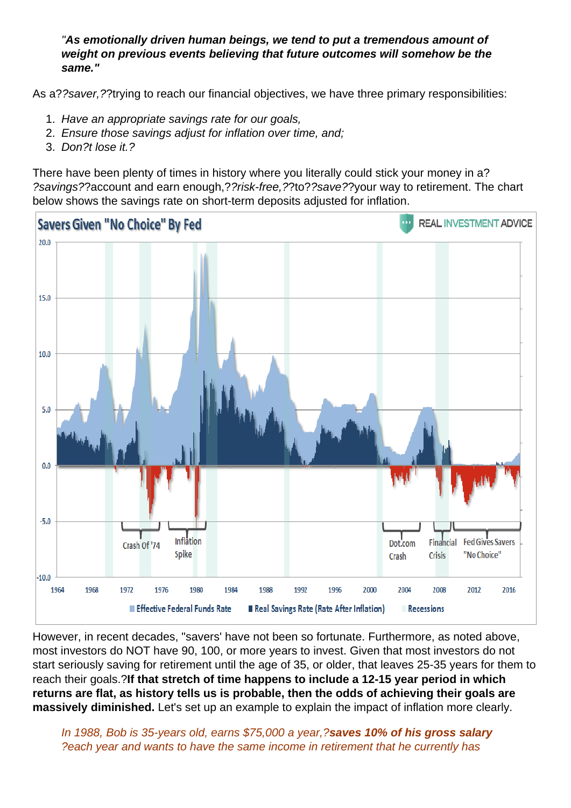"As emotionally driven human beings, we tend to put a tremendous amount of weight on previous events believing that future outcomes will somehow be the same."

As a??saver,??trying to reach our financial objectives, we have three primary responsibilities:

- 1. Have an appropriate savings rate for our goals,
- 2. Ensure those savings adjust for inflation over time, and;
- 3. Don?t lose it.?

There have been plenty of times in history where you literally could stick your money in a? ?savings??account and earn enough,??risk-free,??to??save??your way to retirement. The chart below shows the savings rate on short-term deposits adjusted for inflation.

However, in recent decades, "savers' have not been so fortunate. Furthermore, as noted above, most investors do NOT have 90, 100, or more years to invest. Given that most investors do not start seriously saving for retirement until the age of 35, or older, that leaves 25-35 years for them to reach their goals.?If that stretch of time happens to include a 12-15 year period in which returns are flat, as history tells us is probable, then the odds of achieving their goals are massively diminished. Let's set up an example to explain the impact of inflation more clearly.

In 1988, Bob is 35-years old, earns \$75,000 a year,?saves 10% of his gross salary ?each year and wants to have the same income in retirement that he currently has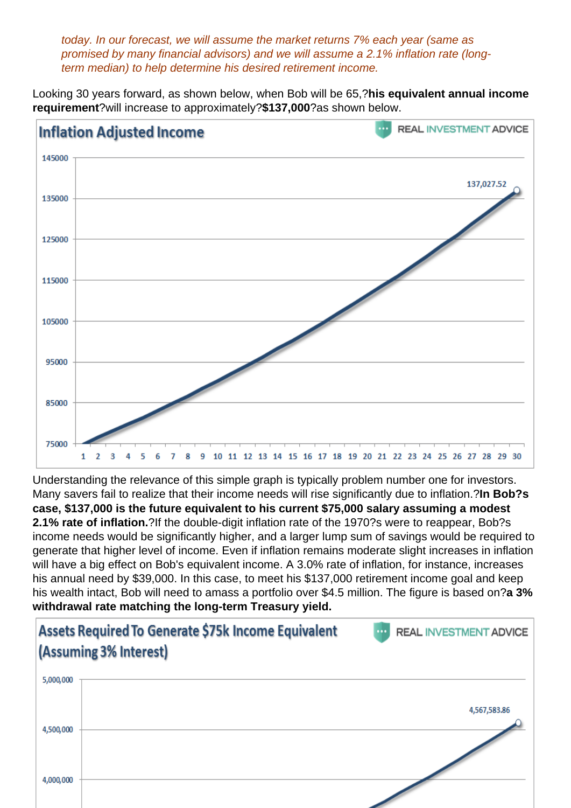today. In our forecast, we will assume the market returns 7% each year (same as promised by many financial advisors) and we will assume a 2.1% inflation rate (longterm median) to help determine his desired retirement income.

Looking 30 years forward, as shown below, when Bob will be 65,?his equivalent annual income requirement ?will increase to approximately?\$137,000?as shown below.

Understanding the relevance of this simple graph is typically problem number one for investors. Many savers fail to realize that their income needs will rise significantly due to inflation.?In Bob?s case, \$137,000 is the future equivalent to his current \$75,000 salary assuming a modest 2.1% rate of inflation. ?If the double-digit inflation rate of the 1970?s were to reappear, Bob?s income needs would be significantly higher, and a larger lump sum of savings would be required to generate that higher level of income. Even if inflation remains moderate slight increases in inflation will have a big effect on Bob's equivalent income. A 3.0% rate of inflation, for instance, increases his annual need by \$39,000. In this case, to meet his \$137,000 retirement income goal and keep his wealth intact, Bob will need to amass a portfolio over \$4.5 million. The figure is based on?a 3% withdrawal rate matching the long-term Treasury yield.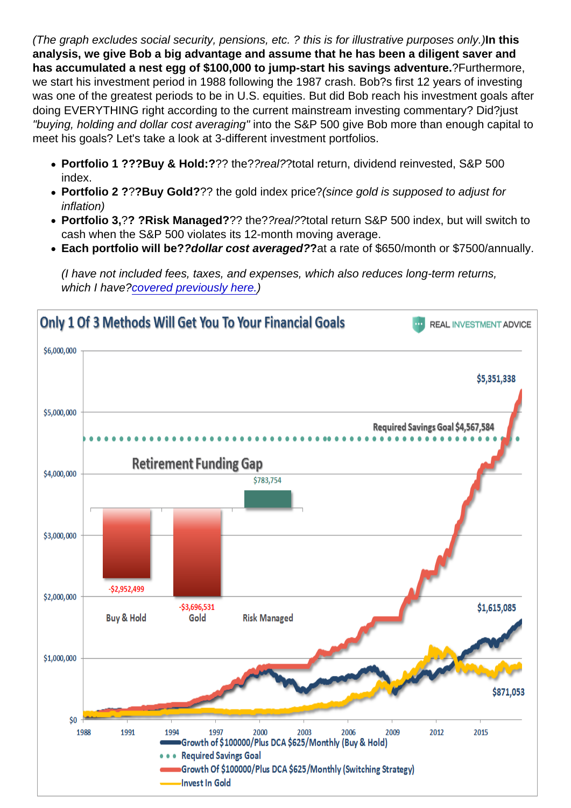(The graph excludes social security, pensions, etc. ? this is for illustrative purposes only.)In this analysis, we give Bob a big advantage and assume that he has been a diligent saver and has accumulated a nest egg of \$100,000 to jump-start his savings adventure. <sup>?</sup> Purthermore, we start his investment period in 1988 following the 1987 crash. Bob?s first 12 years of investing was one of the greatest periods to be in U.S. equities. But did Bob reach his investment goals after doing EVERYTHING right according to the current mainstream investing commentary? Did?just "buying, holding and dollar cost averaging" into the S&P 500 give Bob more than enough capital to meet his goals? Let's take a look at 3-different investment portfolios.

- Portfolio 1 ???Buy & Hold:? ?? the??real??total return, dividend reinvested, S&P 500 index.
- Portfolio 2 ? ??Buy Gold? ?? the gold index price?(since gold is supposed to adjust for inflation)
- Portfolio 3, ?? ?Risk Managed? ?? the??real??total return S&P 500 index, but will switch to cash when the S&P 500 violates its 12-month moving average.
- Each portfolio will be? ?dollar cost averaged? ?at a rate of \$650/month or \$7500/annually.

(I have not included fees, taxes, and expenses, which also reduces long-term returns, which I have[?covered previously here.](https://realinvestmentadvice.com/the-fatal-flaws-in-your-financial-plan/))